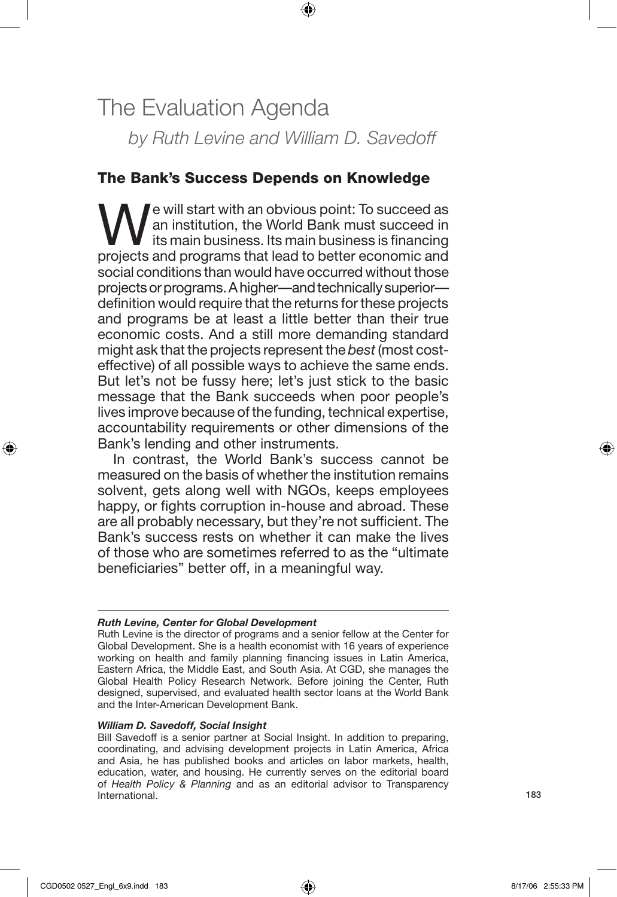# The Evaluation Agenda *by Ruth Levine and William D. Savedoff*

⊕

# The Bank's Success Depends on Knowledge

We will start with an obvious point: To succeed as<br>an institution, the World Bank must succeed in<br>projects and programs that load to better coopernic and an institution, the World Bank must succeed in its main business. Its main business is financing projects and programs that lead to better economic and social conditions than would have occurred without those projects or programs. A higher—and technically superior definition would require that the returns for these projects and programs be at least a little better than their true economic costs. And a still more demanding standard might ask that the projects represent the *best* (most costeffective) of all possible ways to achieve the same ends. But let's not be fussy here; let's just stick to the basic message that the Bank succeeds when poor people's lives improve because of the funding, technical expertise, accountability requirements or other dimensions of the Bank's lending and other instruments.

In contrast, the World Bank's success cannot be measured on the basis of whether the institution remains solvent, gets along well with NGOs, keeps employees happy, or fights corruption in-house and abroad. These are all probably necessary, but they're not sufficient. The Bank's success rests on whether it can make the lives of those who are sometimes referred to as the "ultimate beneficiaries" better off, in a meaningful way.

#### *Ruth Levine, Center for Global Development*

Ruth Levine is the director of programs and a senior fellow at the Center for Global Development. She is a health economist with 16 years of experience working on health and family planning financing issues in Latin America, Eastern Africa, the Middle East, and South Asia. At CGD, she manages the Global Health Policy Research Network. Before joining the Center, Ruth designed, supervised, and evaluated health sector loans at the World Bank and the Inter-American Development Bank.

#### *William D. Savedoff, Social Insight*

Bill Savedoff is a senior partner at Social Insight. In addition to preparing, coordinating, and advising development projects in Latin America, Africa and Asia, he has published books and articles on labor markets, health, education, water, and housing. He currently serves on the editorial board of *Health Policy & Planning* and as an editorial advisor to Transparency International.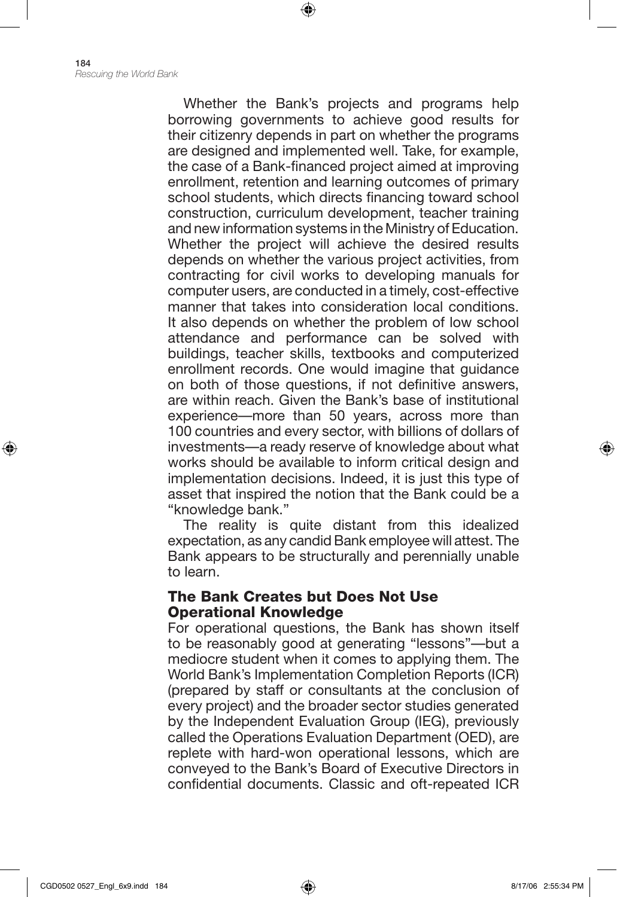Whether the Bank's projects and programs help borrowing governments to achieve good results for their citizenry depends in part on whether the programs are designed and implemented well. Take, for example, the case of a Bank-financed project aimed at improving enrollment, retention and learning outcomes of primary school students, which directs financing toward school construction, curriculum development, teacher training and new information systems in the Ministry of Education. Whether the project will achieve the desired results depends on whether the various project activities, from contracting for civil works to developing manuals for computer users, are conducted in a timely, cost-effective manner that takes into consideration local conditions. It also depends on whether the problem of low school attendance and performance can be solved with buildings, teacher skills, textbooks and computerized enrollment records. One would imagine that guidance on both of those questions, if not definitive answers, are within reach. Given the Bank's base of institutional experience—more than 50 years, across more than 100 countries and every sector, with billions of dollars of investments—a ready reserve of knowledge about what works should be available to inform critical design and implementation decisions. Indeed, it is just this type of asset that inspired the notion that the Bank could be a "knowledge bank."

⊕

The reality is quite distant from this idealized expectation, as any candid Bank employee will attest. The Bank appears to be structurally and perennially unable to learn.

## The Bank Creates but Does Not Use Operational Knowledge

For operational questions, the Bank has shown itself to be reasonably good at generating "lessons"—but a mediocre student when it comes to applying them. The World Bank's Implementation Completion Reports (ICR) (prepared by staff or consultants at the conclusion of every project) and the broader sector studies generated by the Independent Evaluation Group (IEG), previously called the Operations Evaluation Department (OED), are replete with hard-won operational lessons, which are conveyed to the Bank's Board of Executive Directors in confidential documents. Classic and oft-repeated ICR

⊕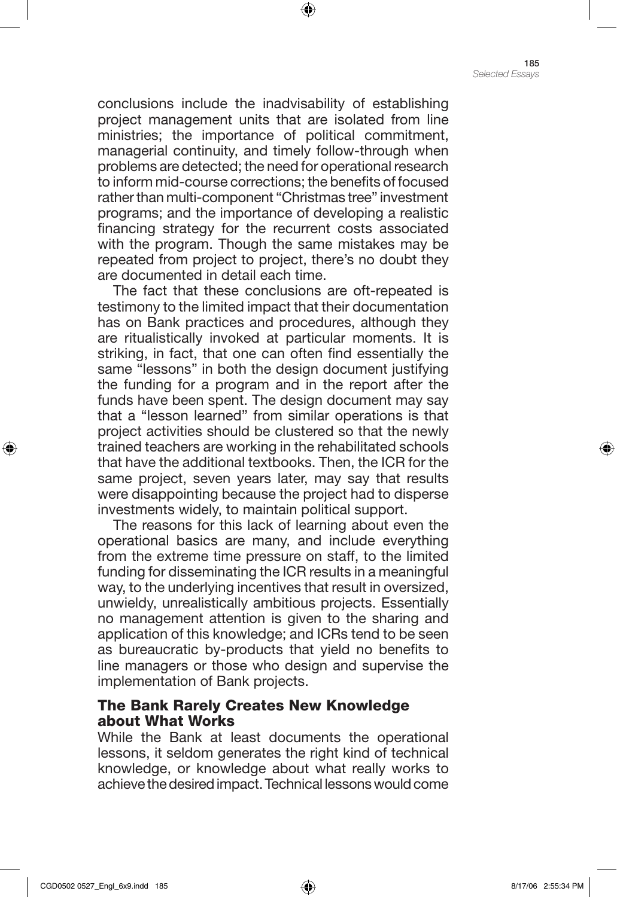conclusions include the inadvisability of establishing project management units that are isolated from line ministries; the importance of political commitment, managerial continuity, and timely follow-through when problems are detected; the need for operational research to inform mid-course corrections; the benefits of focused rather than multi-component "Christmas tree" investment programs; and the importance of developing a realistic financing strategy for the recurrent costs associated with the program. Though the same mistakes may be repeated from project to project, there's no doubt they are documented in detail each time.

⊕

The fact that these conclusions are oft-repeated is testimony to the limited impact that their documentation has on Bank practices and procedures, although they are ritualistically invoked at particular moments. It is striking, in fact, that one can often find essentially the same "lessons" in both the design document justifying the funding for a program and in the report after the funds have been spent. The design document may say that a "lesson learned" from similar operations is that project activities should be clustered so that the newly trained teachers are working in the rehabilitated schools that have the additional textbooks. Then, the ICR for the same project, seven years later, may say that results were disappointing because the project had to disperse investments widely, to maintain political support.

The reasons for this lack of learning about even the operational basics are many, and include everything from the extreme time pressure on staff, to the limited funding for disseminating the ICR results in a meaningful way, to the underlying incentives that result in oversized, unwieldy, unrealistically ambitious projects. Essentially no management attention is given to the sharing and application of this knowledge; and ICRs tend to be seen as bureaucratic by-products that yield no benefits to line managers or those who design and supervise the implementation of Bank projects.

# The Bank Rarely Creates New Knowledge about What Works

While the Bank at least documents the operational lessons, it seldom generates the right kind of technical knowledge, or knowledge about what really works to achieve the desired impact. Technical lessons would come

⊕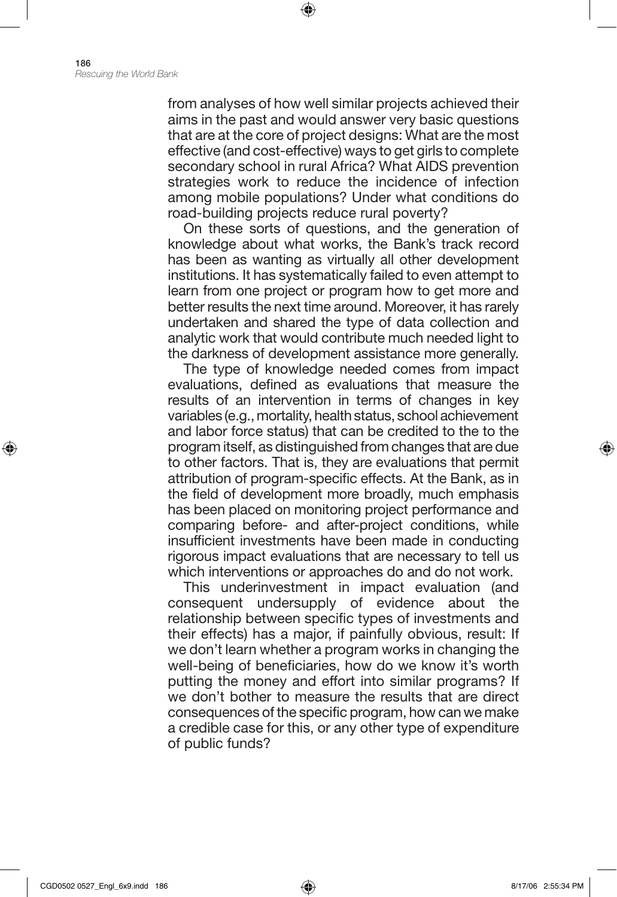from analyses of how well similar projects achieved their aims in the past and would answer very basic questions that are at the core of project designs: What are the most effective (and cost-effective) ways to get girls to complete secondary school in rural Africa? What AIDS prevention strategies work to reduce the incidence of infection among mobile populations? Under what conditions do road-building projects reduce rural poverty?

⊕

On these sorts of questions, and the generation of knowledge about what works, the Bank's track record has been as wanting as virtually all other development institutions. It has systematically failed to even attempt to learn from one project or program how to get more and better results the next time around. Moreover, it has rarely undertaken and shared the type of data collection and analytic work that would contribute much needed light to the darkness of development assistance more generally.

The type of knowledge needed comes from impact evaluations, defined as evaluations that measure the results of an intervention in terms of changes in key variables (e.g., mortality, health status, school achievement and labor force status) that can be credited to the to the program itself, as distinguished from changes that are due to other factors. That is, they are evaluations that permit attribution of program-specific effects. At the Bank, as in the field of development more broadly, much emphasis has been placed on monitoring project performance and comparing before- and after-project conditions, while insufficient investments have been made in conducting rigorous impact evaluations that are necessary to tell us which interventions or approaches do and do not work.

This underinvestment in impact evaluation (and consequent undersupply of evidence about the relationship between specific types of investments and their effects) has a major, if painfully obvious, result: If we don't learn whether a program works in changing the well-being of beneficiaries, how do we know it's worth putting the money and effort into similar programs? If we don't bother to measure the results that are direct consequences of the specific program, how can we make a credible case for this, or any other type of expenditure of public funds?

⊕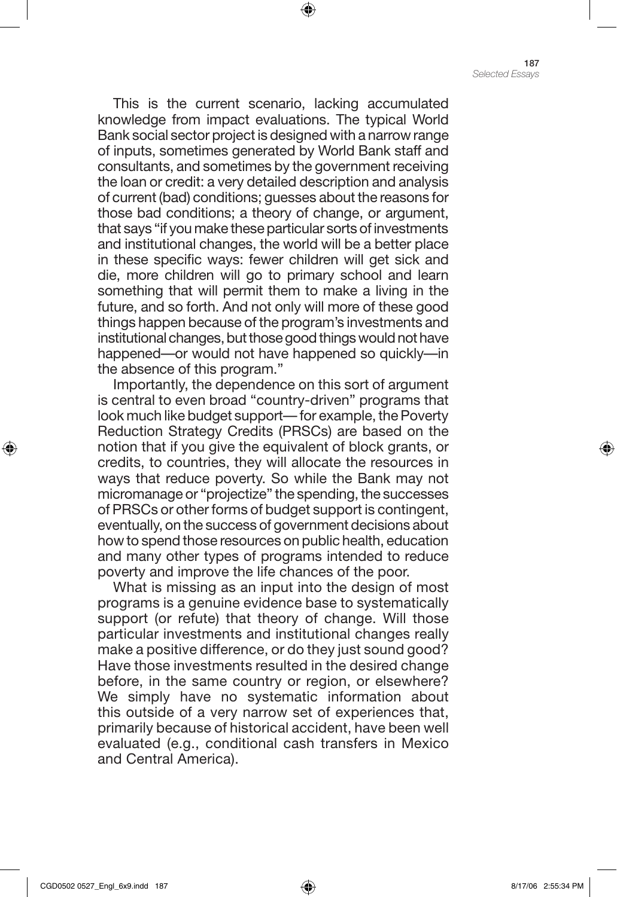This is the current scenario, lacking accumulated knowledge from impact evaluations. The typical World Bank social sector project is designed with a narrow range of inputs, sometimes generated by World Bank staff and consultants, and sometimes by the government receiving the loan or credit: a very detailed description and analysis of current (bad) conditions; guesses about the reasons for those bad conditions; a theory of change, or argument, that says "if you make these particular sorts of investments and institutional changes, the world will be a better place in these specific ways: fewer children will get sick and die, more children will go to primary school and learn something that will permit them to make a living in the future, and so forth. And not only will more of these good things happen because of the program's investments and institutional changes, but those good things would not have happened—or would not have happened so quickly—in the absence of this program."

⊕

Importantly, the dependence on this sort of argument is central to even broad "country-driven" programs that look much like budget support— for example, the Poverty Reduction Strategy Credits (PRSCs) are based on the notion that if you give the equivalent of block grants, or credits, to countries, they will allocate the resources in ways that reduce poverty. So while the Bank may not micromanage or "projectize" the spending, the successes of PRSCs or other forms of budget support is contingent, eventually, on the success of government decisions about how to spend those resources on public health, education and many other types of programs intended to reduce poverty and improve the life chances of the poor.

What is missing as an input into the design of most programs is a genuine evidence base to systematically support (or refute) that theory of change. Will those particular investments and institutional changes really make a positive difference, or do they just sound good? Have those investments resulted in the desired change before, in the same country or region, or elsewhere? We simply have no systematic information about this outside of a very narrow set of experiences that, primarily because of historical accident, have been well evaluated (e.g., conditional cash transfers in Mexico and Central America).

⊕

♠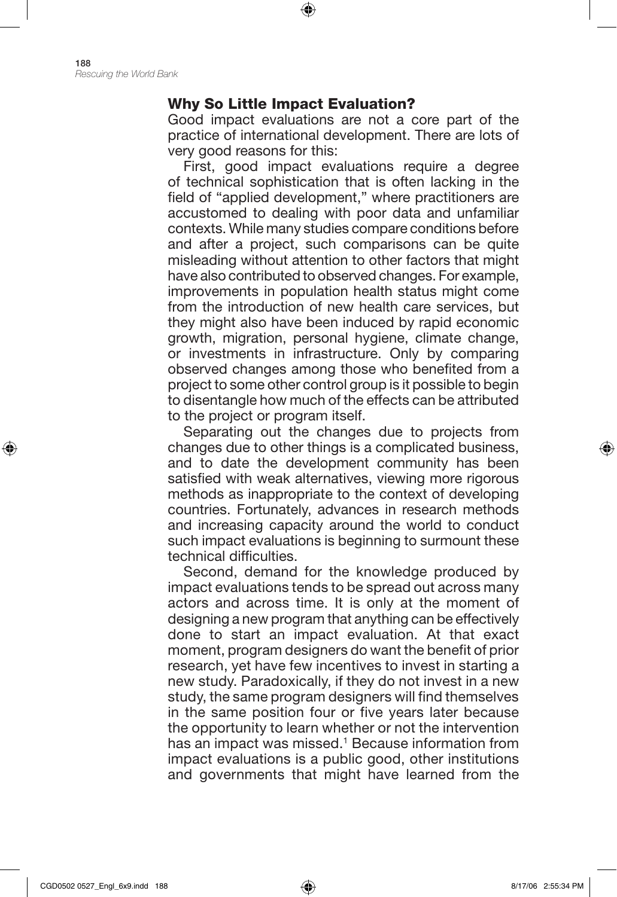## Why So Little Impact Evaluation?

⊕

Good impact evaluations are not a core part of the practice of international development. There are lots of very good reasons for this:

First, good impact evaluations require a degree of technical sophistication that is often lacking in the field of "applied development," where practitioners are accustomed to dealing with poor data and unfamiliar contexts. While many studies compare conditions before and after a project, such comparisons can be quite misleading without attention to other factors that might have also contributed to observed changes. For example, improvements in population health status might come from the introduction of new health care services, but they might also have been induced by rapid economic growth, migration, personal hygiene, climate change, or investments in infrastructure. Only by comparing observed changes among those who benefited from a project to some other control group is it possible to begin to disentangle how much of the effects can be attributed to the project or program itself.

Separating out the changes due to projects from changes due to other things is a complicated business, and to date the development community has been satisfied with weak alternatives, viewing more rigorous methods as inappropriate to the context of developing countries. Fortunately, advances in research methods and increasing capacity around the world to conduct such impact evaluations is beginning to surmount these technical difficulties.

Second, demand for the knowledge produced by impact evaluations tends to be spread out across many actors and across time. It is only at the moment of designing a new program that anything can be effectively done to start an impact evaluation. At that exact moment, program designers do want the benefit of prior research, yet have few incentives to invest in starting a new study. Paradoxically, if they do not invest in a new study, the same program designers will find themselves in the same position four or five years later because the opportunity to learn whether or not the intervention has an impact was missed.<sup>1</sup> Because information from impact evaluations is a public good, other institutions and governments that might have learned from the

⊕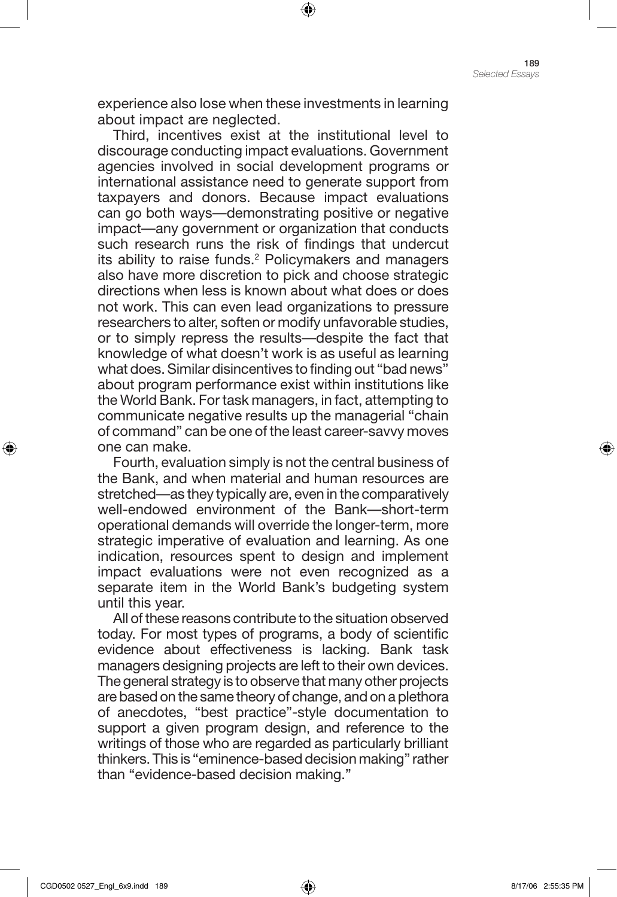experience also lose when these investments in learning about impact are neglected.

⊕

Third, incentives exist at the institutional level to discourage conducting impact evaluations. Government agencies involved in social development programs or international assistance need to generate support from taxpayers and donors. Because impact evaluations can go both ways—demonstrating positive or negative impact—any government or organization that conducts such research runs the risk of findings that undercut its ability to raise funds.<sup>2</sup> Policymakers and managers also have more discretion to pick and choose strategic directions when less is known about what does or does not work. This can even lead organizations to pressure researchers to alter, soften or modify unfavorable studies, or to simply repress the results—despite the fact that knowledge of what doesn't work is as useful as learning what does. Similar disincentives to finding out "bad news" about program performance exist within institutions like the World Bank. For task managers, in fact, attempting to communicate negative results up the managerial "chain of command" can be one of the least career-savvy moves one can make.

Fourth, evaluation simply is not the central business of the Bank, and when material and human resources are stretched—as they typically are, even in the comparatively well-endowed environment of the Bank—short-term operational demands will override the longer-term, more strategic imperative of evaluation and learning. As one indication, resources spent to design and implement impact evaluations were not even recognized as a separate item in the World Bank's budgeting system until this year.

All of these reasons contribute to the situation observed today. For most types of programs, a body of scientific evidence about effectiveness is lacking. Bank task managers designing projects are left to their own devices. The general strategy is to observe that many other projects are based on the same theory of change, and on a plethora of anecdotes, "best practice"-style documentation to support a given program design, and reference to the writings of those who are regarded as particularly brilliant thinkers. This is "eminence-based decision making" rather than "evidence-based decision making."

⊕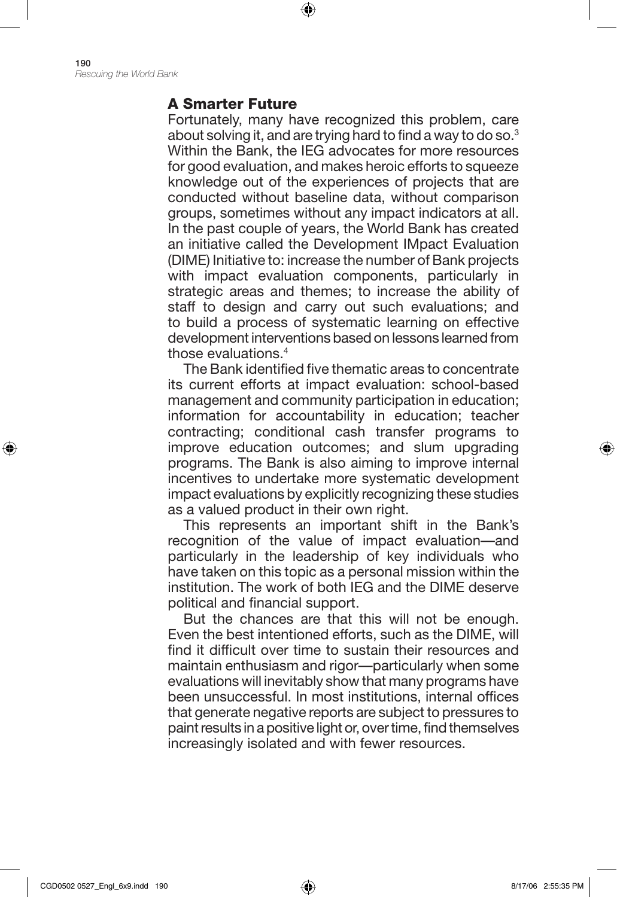190 *Rescuing the World Bank*

#### A Smarter Future

Fortunately, many have recognized this problem, care about solving it, and are trying hard to find a way to do so.3 Within the Bank, the IEG advocates for more resources for good evaluation, and makes heroic efforts to squeeze knowledge out of the experiences of projects that are conducted without baseline data, without comparison groups, sometimes without any impact indicators at all. In the past couple of years, the World Bank has created an initiative called the Development IMpact Evaluation (DIME) Initiative to: increase the number of Bank projects with impact evaluation components, particularly in strategic areas and themes; to increase the ability of staff to design and carry out such evaluations; and to build a process of systematic learning on effective development interventions based on lessons learned from those evaluations.4

⊕

The Bank identified five thematic areas to concentrate its current efforts at impact evaluation: school-based management and community participation in education; information for accountability in education; teacher contracting; conditional cash transfer programs to improve education outcomes; and slum upgrading programs. The Bank is also aiming to improve internal incentives to undertake more systematic development impact evaluations by explicitly recognizing these studies as a valued product in their own right.

This represents an important shift in the Bank's recognition of the value of impact evaluation—and particularly in the leadership of key individuals who have taken on this topic as a personal mission within the institution. The work of both IEG and the DIME deserve political and financial support.

But the chances are that this will not be enough. Even the best intentioned efforts, such as the DIME, will find it difficult over time to sustain their resources and maintain enthusiasm and rigor—particularly when some evaluations will inevitably show that many programs have been unsuccessful. In most institutions, internal offices that generate negative reports are subject to pressures to paint results in a positive light or, over time, find themselves increasingly isolated and with fewer resources.

⊕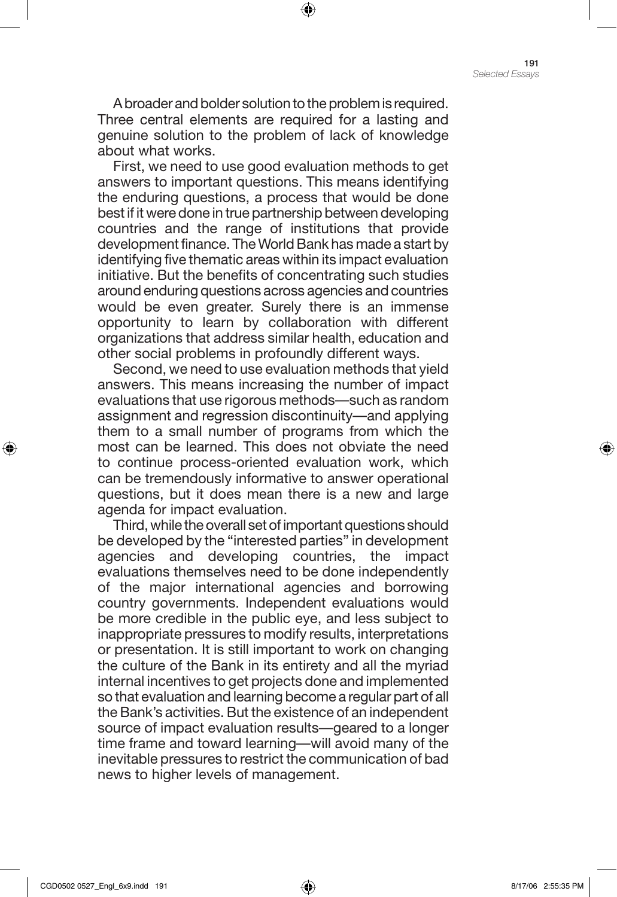A broader and bolder solution to the problem is required. Three central elements are required for a lasting and genuine solution to the problem of lack of knowledge about what works.

⊕

First, we need to use good evaluation methods to get answers to important questions. This means identifying the enduring questions, a process that would be done best if it were done in true partnership between developing countries and the range of institutions that provide development finance. The World Bank has made a start by identifying five thematic areas within its impact evaluation initiative. But the benefits of concentrating such studies around enduring questions across agencies and countries would be even greater. Surely there is an immense opportunity to learn by collaboration with different organizations that address similar health, education and other social problems in profoundly different ways.

Second, we need to use evaluation methods that yield answers. This means increasing the number of impact evaluations that use rigorous methods—such as random assignment and regression discontinuity—and applying them to a small number of programs from which the most can be learned. This does not obviate the need to continue process-oriented evaluation work, which can be tremendously informative to answer operational questions, but it does mean there is a new and large agenda for impact evaluation.

Third, while the overall set of important questions should be developed by the "interested parties" in development agencies and developing countries, the impact evaluations themselves need to be done independently of the major international agencies and borrowing country governments. Independent evaluations would be more credible in the public eye, and less subject to inappropriate pressures to modify results, interpretations or presentation. It is still important to work on changing the culture of the Bank in its entirety and all the myriad internal incentives to get projects done and implemented so that evaluation and learning become a regular part of all the Bank's activities. But the existence of an independent source of impact evaluation results—geared to a longer time frame and toward learning—will avoid many of the inevitable pressures to restrict the communication of bad news to higher levels of management.

⊕

♠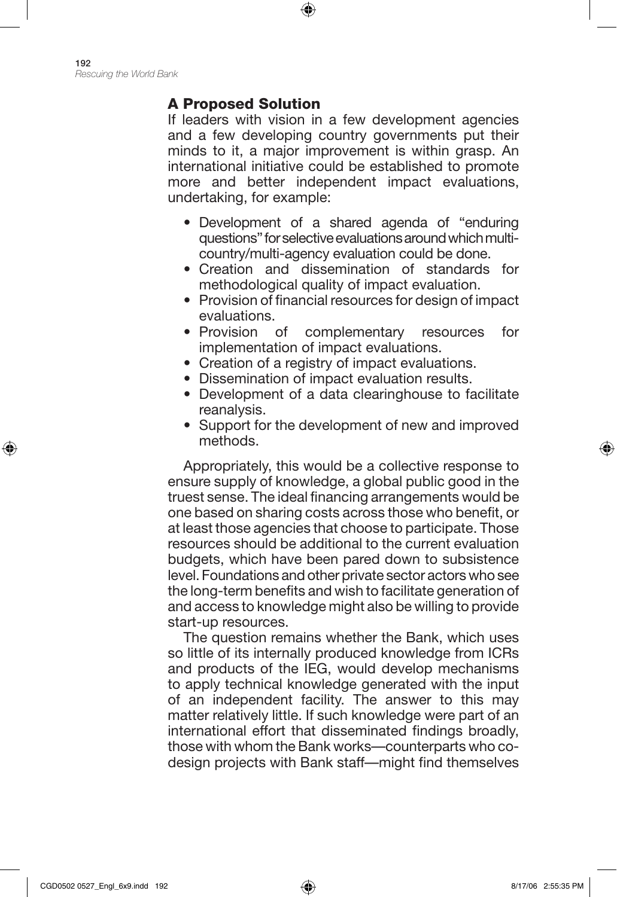# A Proposed Solution

If leaders with vision in a few development agencies and a few developing country governments put their minds to it, a major improvement is within grasp. An international initiative could be established to promote more and better independent impact evaluations, undertaking, for example:

⊕

- Development of a shared agenda of "enduring questions" for selective evaluations around which multicountry/multi-agency evaluation could be done.
- Creation and dissemination of standards for methodological quality of impact evaluation.
- Provision of financial resources for design of impact evaluations.
- Provision of complementary resources for implementation of impact evaluations.
- Creation of a registry of impact evaluations.
- Dissemination of impact evaluation results.
- Development of a data clearinghouse to facilitate reanalysis.
- Support for the development of new and improved methods.

Appropriately, this would be a collective response to ensure supply of knowledge, a global public good in the truest sense. The ideal financing arrangements would be one based on sharing costs across those who benefit, or at least those agencies that choose to participate. Those resources should be additional to the current evaluation budgets, which have been pared down to subsistence level. Foundations and other private sector actors who see the long-term benefits and wish to facilitate generation of and access to knowledge might also be willing to provide start-up resources.

The question remains whether the Bank, which uses so little of its internally produced knowledge from ICRs and products of the IEG, would develop mechanisms to apply technical knowledge generated with the input of an independent facility. The answer to this may matter relatively little. If such knowledge were part of an international effort that disseminated findings broadly, those with whom the Bank works—counterparts who codesign projects with Bank staff—might find themselves

⊕

♠